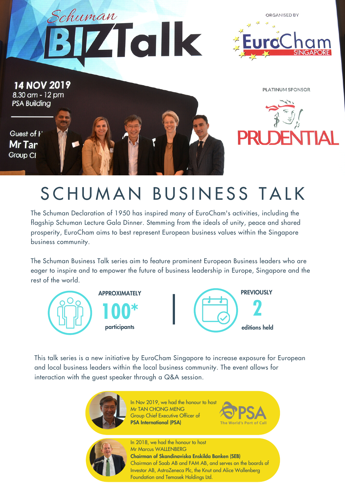





## SCHUMAN BUSINESS TALK

The Schuman Declaration of 1950 has inspired many of EuroCham's activities, including the flagship Schuman Lecture Gala Dinner. Stemming from the ideals of unity, peace and shared prosperity, EuroCham aims to best represent European business values within the Singapore business community.

The Schuman Business Talk series aim to feature prominent European Business leaders who are eager to inspire and to empower the future of business leadership in Europe, Singapore and the rest of the world.





This talk series is a new initiative by EuroCham Singapore to increase exposure for European and local business leaders within the local business community. The event allows for interaction with the guest speaker through a Q&A session.



In Nov 2019, we had the honour to host Mr TAN CHONG MENG Group Chief Executive Officer of PSA International (PSA)





In 2018, we had the honour to host Mr Marcus WALLENBERG Chairman of Skandinaviska Enskilda Banken (SEB) Chairman of Saab AB and FAM AB, and serves on the boards of Investor AB, AstraZeneca Plc, the Knut and Alice Wallenberg Foundation and Temasek Holdings Ltd.